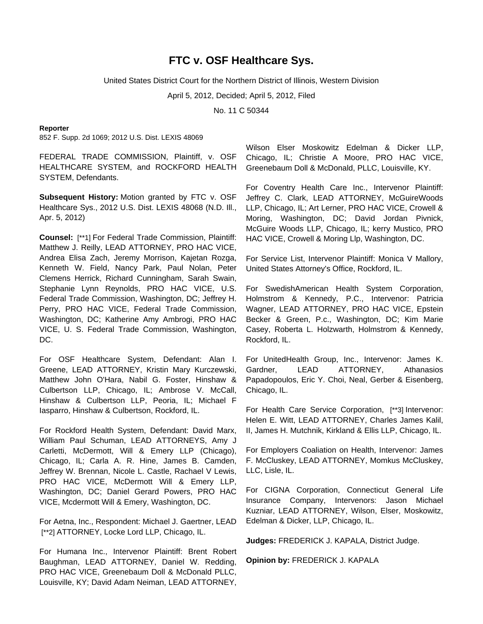# **FTC v. OSF Healthcare Sys.**

United States District Court for the Northern District of Illinois, Western Division

April 5, 2012, Decided; April 5, 2012, Filed

No. 11 C 50344

### **Reporter**

852 F. Supp. 2d 1069; 2012 U.S. Dist. LEXIS 48069

FEDERAL TRADE COMMISSION, Plaintiff, v. OSF HEALTHCARE SYSTEM, and ROCKFORD HEALTH SYSTEM, Defendants.

**Subsequent History:** Motion granted by FTC v. OSF Healthcare Sys., 2012 U.S. Dist. LEXIS 48068 (N.D. Ill., Apr. 5, 2012)

**Counsel:** [\*\*1] For Federal Trade Commission, Plaintiff: Matthew J. Reilly, LEAD ATTORNEY, PRO HAC VICE, Andrea Elisa Zach, Jeremy Morrison, Kajetan Rozga, Kenneth W. Field, Nancy Park, Paul Nolan, Peter Clemens Herrick, Richard Cunningham, Sarah Swain, Stephanie Lynn Reynolds, PRO HAC VICE, U.S. Federal Trade Commission, Washington, DC; Jeffrey H. Perry, PRO HAC VICE, Federal Trade Commission, Washington, DC; Katherine Amy Ambrogi, PRO HAC VICE, U. S. Federal Trade Commission, Washington, DC.

For OSF Healthcare System, Defendant: Alan I. Greene, LEAD ATTORNEY, Kristin Mary Kurczewski, Matthew John O'Hara, Nabil G. Foster, Hinshaw & Culbertson LLP, Chicago, IL; Ambrose V. McCall, Hinshaw & Culbertson LLP, Peoria, IL; Michael F Iasparro, Hinshaw & Culbertson, Rockford, IL.

For Rockford Health System, Defendant: David Marx, William Paul Schuman, LEAD ATTORNEYS, Amy J Carletti, McDermott, Will & Emery LLP (Chicago), Chicago, IL; Carla A. R. Hine, James B. Camden, Jeffrey W. Brennan, Nicole L. Castle, Rachael V Lewis, PRO HAC VICE, McDermott Will & Emery LLP, Washington, DC; Daniel Gerard Powers, PRO HAC VICE, Mcdermott Will & Emery, Washington, DC.

For Aetna, Inc., Respondent: Michael J. Gaertner, LEAD [\*\*2] ATTORNEY, Locke Lord LLP, Chicago, IL.

For Humana Inc., Intervenor Plaintiff: Brent Robert Baughman, LEAD ATTORNEY, Daniel W. Redding, PRO HAC VICE, Greenebaum Doll & McDonald PLLC, Louisville, KY; David Adam Neiman, LEAD ATTORNEY,

Wilson Elser Moskowitz Edelman & Dicker LLP, Chicago, IL; Christie A Moore, PRO HAC VICE, Greenebaum Doll & McDonald, PLLC, Louisville, KY.

For Coventry Health Care Inc., Intervenor Plaintiff: Jeffrey C. Clark, LEAD ATTORNEY, McGuireWoods LLP, Chicago, IL; Art Lerner, PRO HAC VICE, Crowell & Moring, Washington, DC; David Jordan Pivnick, McGuire Woods LLP, Chicago, IL; kerry Mustico, PRO HAC VICE, Crowell & Moring Llp, Washington, DC.

For Service List, Intervenor Plaintiff: Monica V Mallory, United States Attorney's Office, Rockford, IL.

For SwedishAmerican Health System Corporation, Holmstrom & Kennedy, P.C., Intervenor: Patricia Wagner, LEAD ATTORNEY, PRO HAC VICE, Epstein Becker & Green, P.c., Washington, DC; Kim Marie Casey, Roberta L. Holzwarth, Holmstrom & Kennedy, Rockford, IL.

For UnitedHealth Group, Inc., Intervenor: James K. Gardner, LEAD ATTORNEY, Athanasios Papadopoulos, Eric Y. Choi, Neal, Gerber & Eisenberg, Chicago, IL.

For Health Care Service Corporation, [\*\*3] Intervenor: Helen E. Witt, LEAD ATTORNEY, Charles James Kalil, II, James H. Mutchnik, Kirkland & Ellis LLP, Chicago, IL.

For Employers Coaliation on Health, Intervenor: James F. McCluskey, LEAD ATTORNEY, Momkus McCluskey, LLC, Lisle, IL.

For CIGNA Corporation, Connecticut General Life Insurance Company, Intervenors: Jason Michael Kuzniar, LEAD ATTORNEY, Wilson, Elser, Moskowitz, Edelman & Dicker, LLP, Chicago, IL.

**Judges:** FREDERICK J. KAPALA, District Judge.

**Opinion by:** FREDERICK J. KAPALA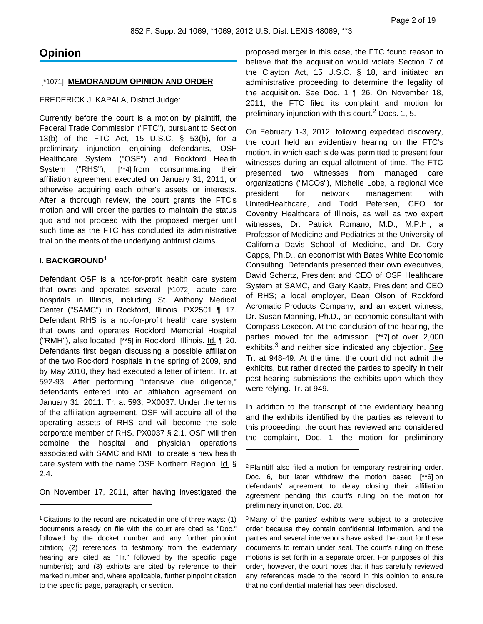# **Opinion**

# [\*1071] **MEMORANDUM OPINION AND ORDER**

# FREDERICK J. KAPALA, District Judge:

Currently before the court is a motion by plaintiff, the Federal Trade Commission ("FTC"), pursuant to Section 13(b) of the FTC Act, 15 U.S.C. § 53(b), for a preliminary injunction enjoining defendants, OSF Healthcare System ("OSF") and Rockford Health System ("RHS"), [\*\*4] from consummating their affiliation agreement executed on January 31, 2011, or otherwise acquiring each other's assets or interests. After a thorough review, the court grants the FTC's motion and will order the parties to maintain the status quo and not proceed with the proposed merger until such time as the FTC has concluded its administrative trial on the merits of the underlying antitrust claims.

# **I. BACKGROUND**<sup>1</sup>

Defendant OSF is a not-for-profit health care system that owns and operates several [\*1072] acute care hospitals in Illinois, including St. Anthony Medical Center ("SAMC") in Rockford, Illinois. PX2501 ¶ 17. Defendant RHS is a not-for-profit health care system that owns and operates Rockford Memorial Hospital ("RMH"), also located [\*\*5] in Rockford, Illinois. Id. ¶ 20. Defendants first began discussing a possible affiliation of the two Rockford hospitals in the spring of 2009, and by May 2010, they had executed a letter of intent. Tr. at 592-93. After performing "intensive due diligence," defendants entered into an affiliation agreement on January 31, 2011. Tr. at 593; PX0037. Under the terms of the affiliation agreement, OSF will acquire all of the operating assets of RHS and will become the sole corporate member of RHS. PX0037 § 2.1. OSF will then combine the hospital and physician operations associated with SAMC and RMH to create a new health care system with the name OSF Northern Region. Id. § 2.4.

On November 17, 2011, after having investigated the

proposed merger in this case, the FTC found reason to believe that the acquisition would violate Section 7 of the Clayton Act, 15 U.S.C. § 18, and initiated an administrative proceeding to determine the legality of the acquisition. See Doc. 1 ¶ 26. On November 18, 2011, the FTC filed its complaint and motion for preliminary injunction with this court.<sup>2</sup> Docs. 1, 5.

On February 1-3, 2012, following expedited discovery, the court held an evidentiary hearing on the FTC's motion, in which each side was permitted to present four witnesses during an equal allotment of time. The FTC presented two witnesses from managed care organizations ("MCOs"), Michelle Lobe, a regional vice president for network management with UnitedHealthcare, and Todd Petersen, CEO for Coventry Healthcare of Illinois, as well as two expert witnesses, Dr. Patrick Romano, M.D., M.P.H., a Professor of Medicine and Pediatrics at the University of California Davis School of Medicine, and Dr. Cory Capps, Ph.D., an economist with Bates White Economic Consulting. Defendants presented their own executives, David Schertz, President and CEO of OSF Healthcare System at SAMC, and Gary Kaatz, President and CEO of RHS; a local employer, Dean Olson of Rockford Acromatic Products Company; and an expert witness, Dr. Susan Manning, Ph.D., an economic consultant with Compass Lexecon. At the conclusion of the hearing, the parties moved for the admission [\*\*7] of over 2,000 exhibits,<sup>3</sup> and neither side indicated any objection. See Tr. at 948-49. At the time, the court did not admit the exhibits, but rather directed the parties to specify in their post-hearing submissions the exhibits upon which they were relying. Tr. at 949.

In addition to the transcript of the evidentiary hearing and the exhibits identified by the parties as relevant to this proceeding, the court has reviewed and considered the complaint, Doc. 1; the motion for preliminary

<sup>3</sup> Many of the parties' exhibits were subject to a protective order because they contain confidential information, and the parties and several intervenors have asked the court for these documents to remain under seal. The court's ruling on these motions is set forth in a separate order. For purposes of this order, however, the court notes that it has carefully reviewed any references made to the record in this opinion to ensure that no confidential material has been disclosed.

<sup>1</sup> Citations to the record are indicated in one of three ways: (1) documents already on file with the court are cited as "Doc." followed by the docket number and any further pinpoint citation; (2) references to testimony from the evidentiary hearing are cited as "Tr." followed by the specific page number(s); and (3) exhibits are cited by reference to their marked number and, where applicable, further pinpoint citation to the specific page, paragraph, or section.

<sup>2</sup> Plaintiff also filed a motion for temporary restraining order, Doc. 6, but later withdrew the motion based [\*\*6] on defendants' agreement to delay closing their affiliation agreement pending this court's ruling on the motion for preliminary injunction, Doc. 28.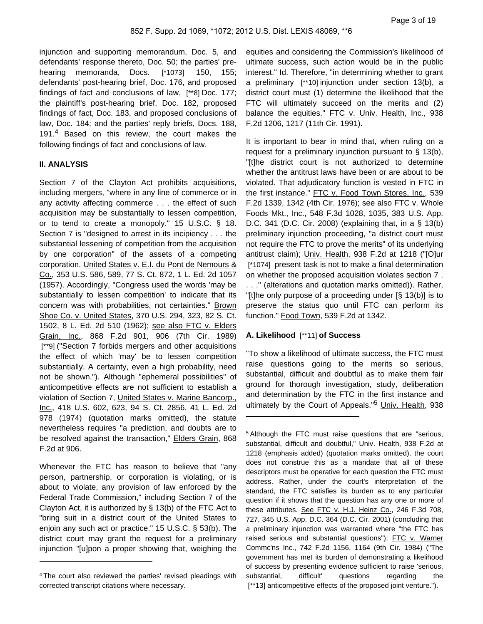injunction and supporting memorandum, Doc. 5, and defendants' response thereto, Doc. 50; the parties' prehearing memoranda, Docs. [\*1073] 150, 155; defendants' post-hearing brief, Doc. 176, and proposed findings of fact and conclusions of law, [\*\*8] Doc. 177; the plaintiff's post-hearing brief, Doc. 182, proposed findings of fact, Doc. 183, and proposed conclusions of law, Doc. 184; and the parties' reply briefs, Docs. 188, 191.<sup>4</sup> Based on this review, the court makes the following findings of fact and conclusions of law.

# **II. ANALYSIS**

Section 7 of the Clayton Act prohibits acquisitions, including mergers, "where in any line of commerce or in any activity affecting commerce . . . the effect of such acquisition may be substantially to lessen competition, or to tend to create a monopoly." 15 U.S.C. § 18. Section 7 is "designed to arrest in its incipiency . . . the substantial lessening of competition from the acquisition by one corporation" of the assets of a competing corporation. United States v. E.I. du Pont de Nemours & Co., 353 U.S. 586, 589, 77 S. Ct. 872, 1 L. Ed. 2d 1057 (1957). Accordingly, "Congress used the words 'may be substantially to lessen competition' to indicate that its concern was with probabilities, not certainties." Brown Shoe Co. v. United States, 370 U.S. 294, 323, 82 S. Ct. 1502, 8 L. Ed. 2d 510 (1962); see also FTC v. Elders Grain, Inc., 868 F.2d 901, 906 (7th Cir. 1989) [\*\*9] ("Section 7 forbids mergers and other acquisitions the effect of which 'may' be to lessen competition substantially. A certainty, even a high probability, need not be shown."). Although "ephemeral possibilities" of anticompetitive effects are not sufficient to establish a violation of Section 7, United States v. Marine Bancorp., Inc., 418 U.S. 602, 623, 94 S. Ct. 2856, 41 L. Ed. 2d 978 (1974) (quotation marks omitted), the statute nevertheless requires "a prediction, and doubts are to be resolved against the transaction," Elders Grain, 868 F.2d at 906.

Whenever the FTC has reason to believe that "any person, partnership, or corporation is violating, or is about to violate, any provision of law enforced by the Federal Trade Commission," including Section 7 of the Clayton Act, it is authorized by § 13(b) of the FTC Act to "bring suit in a district court of the United States to enjoin any such act or practice." 15 U.S.C. § 53(b). The district court may grant the request for a preliminary injunction "[u]pon a proper showing that, weighing the equities and considering the Commission's likelihood of ultimate success, such action would be in the public interest." Id. Therefore, "in determining whether to grant a preliminary [\*\*10] injunction under section 13(b), a district court must (1) determine the likelihood that the FTC will ultimately succeed on the merits and (2) balance the equities." FTC v. Univ. Health, Inc., 938 F.2d 1206, 1217 (11th Cir. 1991).

It is important to bear in mind that, when ruling on a request for a preliminary injunction pursuant to § 13(b), "[t]he district court is not authorized to determine whether the antitrust laws have been or are about to be violated. That adjudicatory function is vested in FTC in the first instance." FTC v. Food Town Stores, Inc., 539 F.2d 1339, 1342 (4th Cir. 1976); see also FTC v. Whole Foods Mkt., Inc., 548 F.3d 1028, 1035, 383 U.S. App. D.C. 341 (D.C. Cir. 2008) (explaining that, in a § 13(b) preliminary injunction proceeding, "a district court must not require the FTC to prove the merits" of its underlying antitrust claim); Univ. Health, 938 F.2d at 1218 ("[O]ur [\*1074] present task is not to make a final determination on whether the proposed acquisition violates section 7 . . . ." (alterations and quotation marks omitted)). Rather, "[t]he only purpose of a proceeding under [§ 13(b)] is to preserve the status quo until FTC can perform its function." Food Town, 539 F.2d at 1342.

# **A. Likelihood** [\*\*11] **of Success**

"To show a likelihood of ultimate success, the FTC must raise questions going to the merits so serious, substantial, difficult and doubtful as to make them fair ground for thorough investigation, study, deliberation and determination by the FTC in the first instance and ultimately by the Court of Appeals."<sup>5</sup> Univ. Health, 938

<sup>4</sup> The court also reviewed the parties' revised pleadings with corrected transcript citations where necessary.

<sup>5</sup> Although the FTC must raise questions that are "serious, substantial, difficult and doubtful," Univ. Health, 938 F.2d at 1218 (emphasis added) (quotation marks omitted), the court does not construe this as a mandate that all of these descriptors must be operative for each question the FTC must address. Rather, under the court's interpretation of the standard, the FTC satisfies its burden as to any particular question if it shows that the question has any one or more of these attributes. See FTC v. H.J. Heinz Co., 246 F.3d 708, 727, 345 U.S. App. D.C. 364 (D.C. Cir. 2001) (concluding that a preliminary injunction was warranted where "the FTC has raised serious and substantial questions"); FTC v. Warner Commc'ns Inc., 742 F.2d 1156, 1164 (9th Cir. 1984) ("The government has met its burden of demonstrating a likelihood of success by presenting evidence sufficient to raise 'serious, substantial, difficult' questions regarding the [\*\*13] anticompetitive effects of the proposed joint venture.").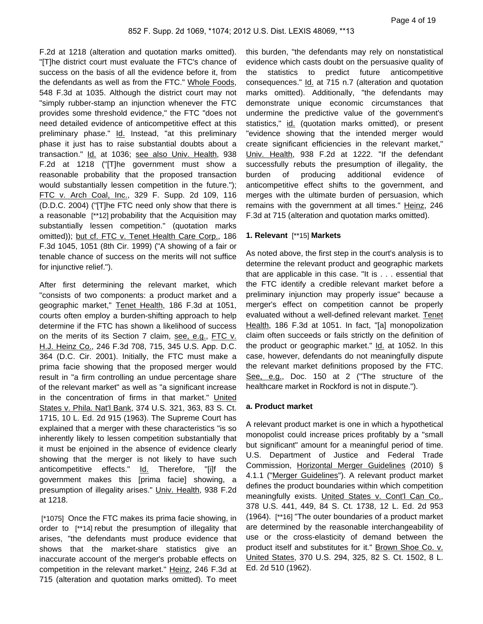F.2d at 1218 (alteration and quotation marks omitted). "[T]he district court must evaluate the FTC's chance of success on the basis of all the evidence before it, from the defendants as well as from the FTC." Whole Foods, 548 F.3d at 1035. Although the district court may not "simply rubber-stamp an injunction whenever the FTC provides some threshold evidence," the FTC "does not need detailed evidence of anticompetitive effect at this preliminary phase." Id. Instead, "at this preliminary phase it just has to raise substantial doubts about a transaction." Id. at 1036; see also Univ. Health, 938 F.2d at 1218 ("[T]he government must show a reasonable probability that the proposed transaction would substantially lessen competition in the future."); FTC v. Arch Coal, Inc., 329 F. Supp. 2d 109, 116 (D.D.C. 2004) ("[T]he FTC need only show that there is a reasonable [\*\*12] probability that the Acquisition may substantially lessen competition." (quotation marks omitted)); but cf. FTC v. Tenet Health Care Corp., 186 F.3d 1045, 1051 (8th Cir. 1999) ("A showing of a fair or tenable chance of success on the merits will not suffice for injunctive relief.").

After first determining the relevant market, which "consists of two components: a product market and a geographic market," Tenet Health, 186 F.3d at 1051, courts often employ a burden-shifting approach to help determine if the FTC has shown a likelihood of success on the merits of its Section 7 claim, see, e.g., FTC v. H.J. Heinz Co., 246 F.3d 708, 715, 345 U.S. App. D.C. 364 (D.C. Cir. 2001). Initially, the FTC must make a prima facie showing that the proposed merger would result in "a firm controlling an undue percentage share of the relevant market" as well as "a significant increase in the concentration of firms in that market." United States v. Phila. Nat'l Bank, 374 U.S. 321, 363, 83 S. Ct. 1715, 10 L. Ed. 2d 915 (1963). The Supreme Court has explained that a merger with these characteristics "is so inherently likely to lessen competition substantially that it must be enjoined in the absence of evidence clearly showing that the merger is not likely to have such anticompetitive effects." Id. Therefore, "[i]f the government makes this [prima facie] showing, a presumption of illegality arises." Univ. Health, 938 F.2d at 1218.

[\*1075] Once the FTC makes its prima facie showing, in order to [\*\*14] rebut the presumption of illegality that arises, "the defendants must produce evidence that shows that the market-share statistics give an inaccurate account of the merger's probable effects on competition in the relevant market." Heinz, 246 F.3d at 715 (alteration and quotation marks omitted). To meet

this burden, "the defendants may rely on nonstatistical evidence which casts doubt on the persuasive quality of the statistics to predict future anticompetitive consequences." Id. at 715 n.7 (alteration and quotation marks omitted). Additionally, "the defendants may demonstrate unique economic circumstances that undermine the predictive value of the government's statistics," id. (quotation marks omitted), or present "evidence showing that the intended merger would create significant efficiencies in the relevant market," Univ. Health, 938 F.2d at 1222. "If the defendant successfully rebuts the presumption of illegality, the burden of producing additional evidence of anticompetitive effect shifts to the government, and merges with the ultimate burden of persuasion, which remains with the government at all times." Heinz, 246 F.3d at 715 (alteration and quotation marks omitted).

# **1. Relevant** [\*\*15] **Markets**

As noted above, the first step in the court's analysis is to determine the relevant product and geographic markets that are applicable in this case. "It is . . . essential that the FTC identify a credible relevant market before a preliminary injunction may properly issue" because a merger's effect on competition cannot be properly evaluated without a well-defined relevant market. Tenet Health, 186 F.3d at 1051. In fact, "[a] monopolization claim often succeeds or fails strictly on the definition of the product or geographic market." Id. at 1052. In this case, however, defendants do not meaningfully dispute the relevant market definitions proposed by the FTC. See, e.g., Doc. 150 at 2 ("The structure of the healthcare market in Rockford is not in dispute.").

### **a. Product market**

A relevant product market is one in which a hypothetical monopolist could increase prices profitably by a "small but significant" amount for a meaningful period of time. U.S. Department of Justice and Federal Trade Commission, Horizontal Merger Guidelines (2010) § 4.1.1 ("Merger Guidelines"). A relevant product market defines the product boundaries within which competition meaningfully exists. United States v. Cont'l Can Co., 378 U.S. 441, 449, 84 S. Ct. 1738, 12 L. Ed. 2d 953 (1964). [\*\*16] "The outer boundaries of a product market are determined by the reasonable interchangeability of use or the cross-elasticity of demand between the product itself and substitutes for it." Brown Shoe Co. v. United States, 370 U.S. 294, 325, 82 S. Ct. 1502, 8 L. Ed. 2d 510 (1962).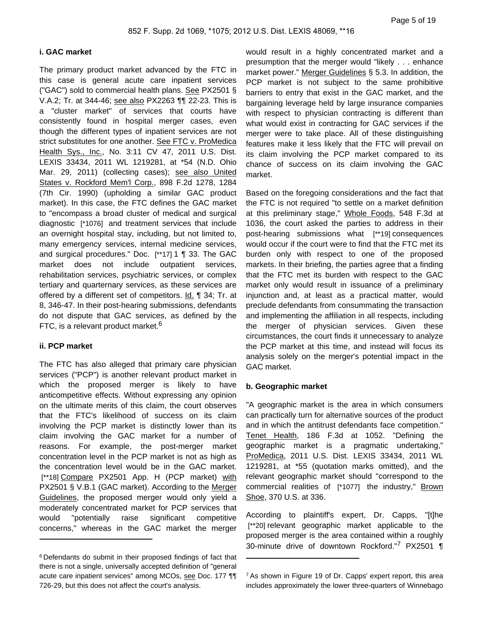# **i. GAC market**

The primary product market advanced by the FTC in this case is general acute care inpatient services ("GAC") sold to commercial health plans. See PX2501 § V.A.2; Tr. at 344-46; see also PX2263 ¶¶ 22-23. This is a "cluster market" of services that courts have consistently found in hospital merger cases, even though the different types of inpatient services are not strict substitutes for one another. See FTC v. ProMedica Health Sys., Inc., No. 3:11 CV 47, 2011 U.S. Dist. LEXIS 33434, 2011 WL 1219281, at \*54 (N.D. Ohio Mar. 29, 2011) (collecting cases); see also United States v. Rockford Mem'l Corp., 898 F.2d 1278, 1284 (7th Cir. 1990) (upholding a similar GAC product market). In this case, the FTC defines the GAC market to "encompass a broad cluster of medical and surgical diagnostic [\*1076] and treatment services that include an overnight hospital stay, including, but not limited to, many emergency services, internal medicine services, and surgical procedures." Doc. [\*\*17] 1 ¶ 33. The GAC market does not include outpatient services, rehabilitation services, psychiatric services, or complex tertiary and quarternary services, as these services are offered by a different set of competitors. Id. ¶ 34; Tr. at 8, 346-47. In their post-hearing submissions, defendants do not dispute that GAC services, as defined by the FTC, is a relevant product market.<sup>6</sup>

# **ii. PCP market**

The FTC has also alleged that primary care physician services ("PCP") is another relevant product market in which the proposed merger is likely to have anticompetitive effects. Without expressing any opinion on the ultimate merits of this claim, the court observes that the FTC's likelihood of success on its claim involving the PCP market is distinctly lower than its claim involving the GAC market for a number of reasons. For example, the post-merger market concentration level in the PCP market is not as high as the concentration level would be in the GAC market. [\*\*18] Compare PX2501 App. H (PCP market) with PX2501 § V.B.1 (GAC market). According to the Merger Guidelines, the proposed merger would only yield a moderately concentrated market for PCP services that would "potentially raise significant competitive concerns," whereas in the GAC market the merger would result in a highly concentrated market and a presumption that the merger would "likely . . . enhance market power." Merger Guidelines § 5.3. In addition, the PCP market is not subject to the same prohibitive barriers to entry that exist in the GAC market, and the bargaining leverage held by large insurance companies with respect to physician contracting is different than what would exist in contracting for GAC services if the merger were to take place. All of these distinguishing features make it less likely that the FTC will prevail on its claim involving the PCP market compared to its chance of success on its claim involving the GAC market.

Based on the foregoing considerations and the fact that the FTC is not required "to settle on a market definition at this preliminary stage," Whole Foods, 548 F.3d at 1036, the court asked the parties to address in their post-hearing submissions what [\*\*19] consequences would occur if the court were to find that the FTC met its burden only with respect to one of the proposed markets. In their briefing, the parties agree that a finding that the FTC met its burden with respect to the GAC market only would result in issuance of a preliminary injunction and, at least as a practical matter, would preclude defendants from consummating the transaction and implementing the affiliation in all respects, including the merger of physician services. Given these circumstances, the court finds it unnecessary to analyze the PCP market at this time, and instead will focus its analysis solely on the merger's potential impact in the GAC market.

### **b. Geographic market**

"A geographic market is the area in which consumers can practically turn for alternative sources of the product and in which the antitrust defendants face competition." Tenet Health, 186 F.3d at 1052. "Defining the geographic market is a pragmatic undertaking," ProMedica, 2011 U.S. Dist. LEXIS 33434, 2011 WL 1219281, at \*55 (quotation marks omitted), and the relevant geographic market should "correspond to the commercial realities of [\*1077] the industry," Brown Shoe, 370 U.S. at 336.

According to plaintiff's expert, Dr. Capps, "[t]he [\*\*20] relevant geographic market applicable to the proposed merger is the area contained within a roughly 30-minute drive of downtown Rockford."7 PX2501 ¶

<sup>6</sup> Defendants do submit in their proposed findings of fact that there is not a single, universally accepted definition of "general acute care inpatient services" among MCOs, see Doc. 177 TT 726-29, but this does not affect the court's analysis.

<sup>&</sup>lt;sup>7</sup> As shown in Figure 19 of Dr. Capps' expert report, this area includes approximately the lower three-quarters of Winnebago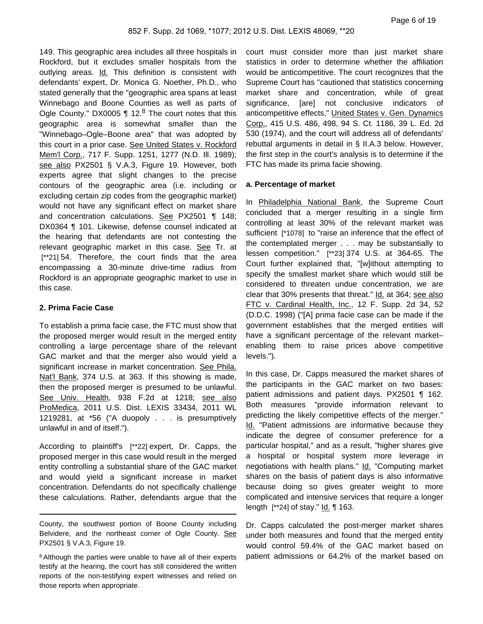149. This geographic area includes all three hospitals in Rockford, but it excludes smaller hospitals from the outlying areas. Id. This definition is consistent with defendants' expert, Dr. Monica G. Noether, Ph.D., who stated generally that the "geographic area spans at least Winnebago and Boone Counties as well as parts of Ogle County." DX0005  $\P$  12.<sup>8</sup> The court notes that this geographic area is somewhat smaller than the "Winnebago–Ogle–Boone area" that was adopted by this court in a prior case. See United States v. Rockford Mem'l Corp., 717 F. Supp. 1251, 1277 (N.D. Ill. 1989); see also PX2501 § V.A.3, Figure 19. However, both experts agree that slight changes to the precise contours of the geographic area (i.e. including or excluding certain zip codes from the geographic market) would not have any significant effect on market share and concentration calculations. See PX2501 ¶ 148; DX0364 ¶ 101. Likewise, defense counsel indicated at the hearing that defendants are not contesting the relevant geographic market in this case. See Tr. at [\*\*21] 54. Therefore, the court finds that the area encompassing a 30-minute drive-time radius from Rockford is an appropriate geographic market to use in this case.

# **2. Prima Facie Case**

To establish a prima facie case, the FTC must show that the proposed merger would result in the merged entity controlling a large percentage share of the relevant GAC market and that the merger also would yield a significant increase in market concentration. See Phila. Nat'l Bank, 374 U.S. at 363. If this showing is made, then the proposed merger is presumed to be unlawful. See Univ. Health, 938 F.2d at 1218; see also ProMedica, 2011 U.S. Dist. LEXIS 33434, 2011 WL 1219281, at \*56 ("A duopoly . . . is presumptively unlawful in and of itself.").

According to plaintiff's [\*\*22] expert, Dr. Capps, the proposed merger in this case would result in the merged entity controlling a substantial share of the GAC market and would yield a significant increase in market concentration. Defendants do not specifically challenge these calculations. Rather, defendants argue that the

court must consider more than just market share statistics in order to determine whether the affiliation would be anticompetitive. The court recognizes that the Supreme Court has "cautioned that statistics concerning market share and concentration, while of great significance, [are] not conclusive indicators of anticompetitive effects," United States v. Gen. Dynamics Corp., 415 U.S. 486, 498, 94 S. Ct. 1186, 39 L. Ed. 2d 530 (1974), and the court will address all of defendants' rebuttal arguments in detail in § II.A.3 below. However, the first step in the court's analysis is to determine if the FTC has made its prima facie showing.

### **a. Percentage of market**

In Philadelphia National Bank, the Supreme Court concluded that a merger resulting in a single firm controlling at least 30% of the relevant market was sufficient [\*1078] to "raise an inference that the effect of the contemplated merger . . . may be substantially to lessen competition." [\*\*23] 374 U.S. at 364-65. The Court further explained that, "[w]ithout attempting to specify the smallest market share which would still be considered to threaten undue concentration, we are clear that 30% presents that threat." Id. at 364; see also FTC v. Cardinal Health, Inc., 12 F. Supp. 2d 34, 52 (D.D.C. 1998) ("[A] prima facie case can be made if the government establishes that the merged entities will have a significant percentage of the relevant market– enabling them to raise prices above competitive levels.").

In this case, Dr. Capps measured the market shares of the participants in the GAC market on two bases: patient admissions and patient days. PX2501 ¶ 162. Both measures "provide information relevant to predicting the likely competitive effects of the merger." Id. "Patient admissions are informative because they indicate the degree of consumer preference for a particular hospital," and as a result, "higher shares give a hospital or hospital system more leverage in negotiations with health plans." Id. "Computing market shares on the basis of patient days is also informative because doing so gives greater weight to more complicated and intensive services that require a longer length [\*\*24] of stay." Id. 163.

Dr. Capps calculated the post-merger market shares under both measures and found that the merged entity would control 59.4% of the GAC market based on patient admissions or 64.2% of the market based on

County, the southwest portion of Boone County including Belvidere, and the northeast corner of Ogle County. See PX2501 § V.A.3, Figure 19.

<sup>&</sup>lt;sup>8</sup> Although the parties were unable to have all of their experts testify at the hearing, the court has still considered the written reports of the non-testifying expert witnesses and relied on those reports when appropriate.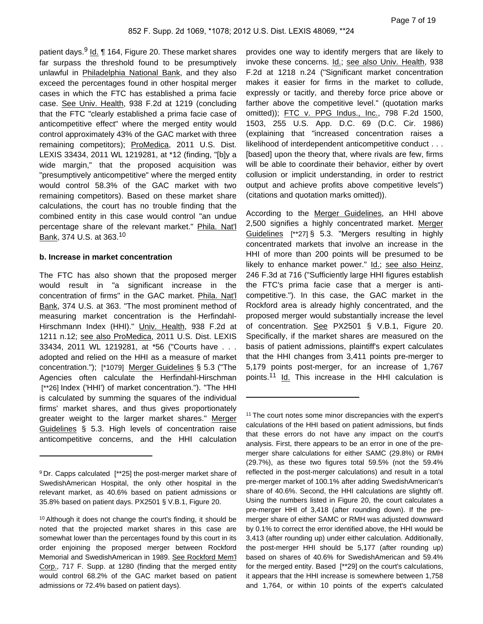patient days.<sup>9</sup> Id. ¶ 164, Figure 20. These market shares far surpass the threshold found to be presumptively unlawful in Philadelphia National Bank, and they also exceed the percentages found in other hospital merger cases in which the FTC has established a prima facie case. See Univ. Health, 938 F.2d at 1219 (concluding that the FTC "clearly established a prima facie case of anticompetitive effect" where the merged entity would control approximately 43% of the GAC market with three remaining competitors); ProMedica, 2011 U.S. Dist. LEXIS 33434, 2011 WL 1219281, at \*12 (finding, "[b]y a wide margin," that the proposed acquisition was "presumptively anticompetitive" where the merged entity would control 58.3% of the GAC market with two remaining competitors). Based on these market share calculations, the court has no trouble finding that the combined entity in this case would control "an undue percentage share of the relevant market." Phila. Nat'l Bank, 374 U.S. at 363.<sup>10</sup>

#### **b. Increase in market concentration**

The FTC has also shown that the proposed merger would result in "a significant increase in the concentration of firms" in the GAC market. Phila. Nat'l Bank, 374 U.S. at 363. "The most prominent method of measuring market concentration is the Herfindahl-Hirschmann Index (HHI)." Univ. Health, 938 F.2d at 1211 n.12; see also ProMedica, 2011 U.S. Dist. LEXIS 33434, 2011 WL 1219281, at \*56 ("Courts have . . . adopted and relied on the HHI as a measure of market concentration."); [\*1079] Merger Guidelines § 5.3 ("The Agencies often calculate the Herfindahl-Hirschman [\*\*26] Index ('HHI') of market concentration."). "The HHI is calculated by summing the squares of the individual firms' market shares, and thus gives proportionately greater weight to the larger market shares." Merger Guidelines § 5.3. High levels of concentration raise anticompetitive concerns, and the HHI calculation

provides one way to identify mergers that are likely to invoke these concerns. Id.; see also Univ. Health, 938 F.2d at 1218 n.24 ("Significant market concentration makes it easier for firms in the market to collude, expressly or tacitly, and thereby force price above or farther above the competitive level." (quotation marks omitted)); FTC v. PPG Indus., Inc., 798 F.2d 1500, 1503, 255 U.S. App. D.C. 69 (D.C. Cir. 1986) (explaining that "increased concentration raises a likelihood of interdependent anticompetitive conduct . . . [based] upon the theory that, where rivals are few, firms will be able to coordinate their behavior, either by overt collusion or implicit understanding, in order to restrict output and achieve profits above competitive levels") (citations and quotation marks omitted)).

According to the Merger Guidelines, an HHI above 2,500 signifies a highly concentrated market. Merger Guidelines [\*\*27] § 5.3. "Mergers resulting in highly concentrated markets that involve an increase in the HHI of more than 200 points will be presumed to be likely to enhance market power." Id.; see also Heinz, 246 F.3d at 716 ("Sufficiently large HHI figures establish the FTC's prima facie case that a merger is anticompetitive."). In this case, the GAC market in the Rockford area is already highly concentrated, and the proposed merger would substantially increase the level of concentration. See PX2501 § V.B.1, Figure 20. Specifically, if the market shares are measured on the basis of patient admissions, plaintiff's expert calculates that the HHI changes from 3,411 points pre-merger to 5,179 points post-merger, for an increase of 1,767 points.<sup>11</sup> Id. This increase in the HHI calculation is

<sup>9</sup> Dr. Capps calculated [\*\*25] the post-merger market share of SwedishAmerican Hospital, the only other hospital in the relevant market, as 40.6% based on patient admissions or 35.8% based on patient days. PX2501 § V.B.1, Figure 20.

<sup>10</sup> Although it does not change the court's finding, it should be noted that the projected market shares in this case are somewhat lower than the percentages found by this court in its order enjoining the proposed merger between Rockford Memorial and SwedishAmerican in 1989. See Rockford Mem'l Corp., 717 F. Supp. at 1280 (finding that the merged entity would control 68.2% of the GAC market based on patient admissions or 72.4% based on patient days).

<sup>&</sup>lt;sup>11</sup> The court notes some minor discrepancies with the expert's calculations of the HHI based on patient admissions, but finds that these errors do not have any impact on the court's analysis. First, there appears to be an error in one of the premerger share calculations for either SAMC (29.8%) or RMH (29.7%), as these two figures total 59.5% (not the 59.4% reflected in the post-merger calculations) and result in a total pre-merger market of 100.1% after adding SwedishAmerican's share of 40.6%. Second, the HHI calculations are slightly off. Using the numbers listed in Figure 20, the court calculates a pre-merger HHI of 3,418 (after rounding down). If the premerger share of either SAMC or RMH was adjusted downward by 0.1% to correct the error identified above, the HHI would be 3,413 (after rounding up) under either calculation. Additionally, the post-merger HHI should be 5,177 (after rounding up) based on shares of 40.6% for SwedishAmerican and 59.4% for the merged entity. Based [\*\*29] on the court's calculations, it appears that the HHI increase is somewhere between 1,758 and 1,764, or within 10 points of the expert's calculated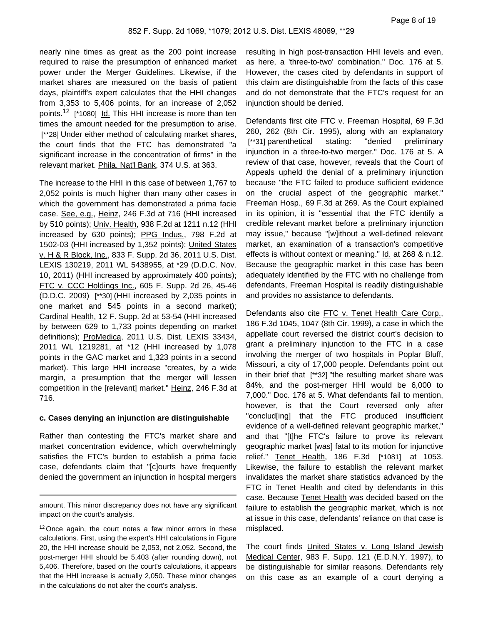nearly nine times as great as the 200 point increase required to raise the presumption of enhanced market power under the Merger Guidelines. Likewise, if the market shares are measured on the basis of patient days, plaintiff's expert calculates that the HHI changes from 3,353 to 5,406 points, for an increase of 2,052 points.<sup>12</sup> [\*1080] Id. This HHI increase is more than ten times the amount needed for the presumption to arise. [\*\*28] Under either method of calculating market shares, the court finds that the FTC has demonstrated "a significant increase in the concentration of firms" in the relevant market. Phila. Nat'l Bank, 374 U.S. at 363.

The increase to the HHI in this case of between 1,767 to 2,052 points is much higher than many other cases in which the government has demonstrated a prima facie case. See, e.g., Heinz, 246 F.3d at 716 (HHI increased by 510 points); Univ. Health, 938 F.2d at 1211 n.12 (HHI increased by 630 points); PPG Indus., 798 F.2d at 1502-03 (HHI increased by 1,352 points); United States v. H & R Block, Inc., 833 F. Supp. 2d 36, 2011 U.S. Dist. LEXIS 130219, 2011 WL 5438955, at \*29 (D.D.C. Nov. 10, 2011) (HHI increased by approximately 400 points); FTC v. CCC Holdings Inc., 605 F. Supp. 2d 26, 45-46 (D.D.C. 2009) [\*\*30] (HHI increased by 2,035 points in one market and 545 points in a second market); Cardinal Health, 12 F. Supp. 2d at 53-54 (HHI increased by between 629 to 1,733 points depending on market definitions); ProMedica, 2011 U.S. Dist. LEXIS 33434, 2011 WL 1219281, at \*12 (HHI increased by 1,078 points in the GAC market and 1,323 points in a second market). This large HHI increase "creates, by a wide margin, a presumption that the merger will lessen competition in the [relevant] market." Heinz, 246 F.3d at 716.

### **c. Cases denying an injunction are distinguishable**

Rather than contesting the FTC's market share and market concentration evidence, which overwhelmingly satisfies the FTC's burden to establish a prima facie case, defendants claim that "[c]ourts have frequently denied the government an injunction in hospital mergers

resulting in high post-transaction HHI levels and even, as here, a 'three-to-two' combination." Doc. 176 at 5. However, the cases cited by defendants in support of this claim are distinguishable from the facts of this case and do not demonstrate that the FTC's request for an injunction should be denied.

Defendants first cite FTC v. Freeman Hospital, 69 F.3d 260, 262 (8th Cir. 1995), along with an explanatory [\*\*31] parenthetical stating: "denied preliminary injunction in a three-to-two merger." Doc. 176 at 5. A review of that case, however, reveals that the Court of Appeals upheld the denial of a preliminary injunction because "the FTC failed to produce sufficient evidence on the crucial aspect of the geographic market." Freeman Hosp., 69 F.3d at 269. As the Court explained in its opinion, it is "essential that the FTC identify a credible relevant market before a preliminary injunction may issue," because "[w]ithout a well-defined relevant market, an examination of a transaction's competitive effects is without context or meaning." Id. at 268 & n.12. Because the geographic market in this case has been adequately identified by the FTC with no challenge from defendants, Freeman Hospital is readily distinguishable and provides no assistance to defendants.

Defendants also cite FTC v. Tenet Health Care Corp., 186 F.3d 1045, 1047 (8th Cir. 1999), a case in which the appellate court reversed the district court's decision to grant a preliminary injunction to the FTC in a case involving the merger of two hospitals in Poplar Bluff, Missouri, a city of 17,000 people. Defendants point out in their brief that [\*\*32] "the resulting market share was 84%, and the post-merger HHI would be 6,000 to 7,000." Doc. 176 at 5. What defendants fail to mention, however, is that the Court reversed only after "conclud[ing] that the FTC produced insufficient evidence of a well-defined relevant geographic market," and that "[t]he FTC's failure to prove its relevant geographic market [was] fatal to its motion for injunctive relief." Tenet Health, 186 F.3d [\*1081] at 1053. Likewise, the failure to establish the relevant market invalidates the market share statistics advanced by the FTC in Tenet Health and cited by defendants in this case. Because Tenet Health was decided based on the failure to establish the geographic market, which is not at issue in this case, defendants' reliance on that case is misplaced.

The court finds United States v. Long Island Jewish Medical Center, 983 F. Supp. 121 (E.D.N.Y. 1997), to be distinguishable for similar reasons. Defendants rely on this case as an example of a court denying a

amount. This minor discrepancy does not have any significant impact on the court's analysis.

<sup>&</sup>lt;sup>12</sup> Once again, the court notes a few minor errors in these calculations. First, using the expert's HHI calculations in Figure 20, the HHI increase should be 2,053, not 2,052. Second, the post-merger HHI should be 5,403 (after rounding down), not 5,406. Therefore, based on the court's calculations, it appears that the HHI increase is actually 2,050. These minor changes in the calculations do not alter the court's analysis.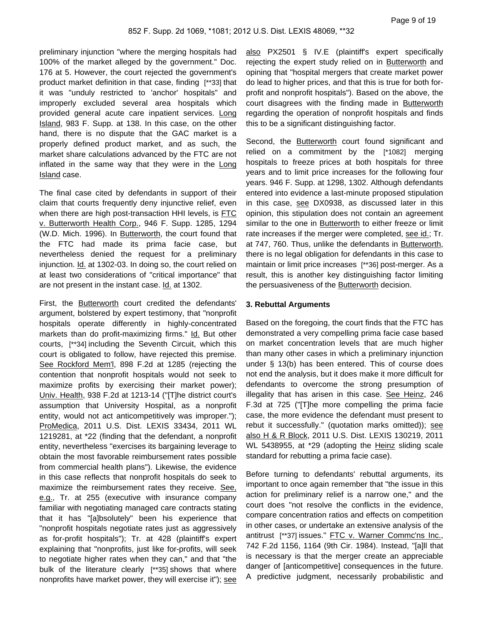preliminary injunction "where the merging hospitals had 100% of the market alleged by the government." Doc. 176 at 5. However, the court rejected the government's product market definition in that case, finding [\*\*33] that it was "unduly restricted to 'anchor' hospitals" and improperly excluded several area hospitals which provided general acute care inpatient services. Long Island, 983 F. Supp. at 138. In this case, on the other hand, there is no dispute that the GAC market is a properly defined product market, and as such, the market share calculations advanced by the FTC are not inflated in the same way that they were in the Long Island case.

The final case cited by defendants in support of their claim that courts frequently deny injunctive relief, even when there are high post-transaction HHI levels, is FTC v. Butterworth Health Corp., 946 F. Supp. 1285, 1294 (W.D. Mich. 1996). In Butterworth, the court found that the FTC had made its prima facie case, but nevertheless denied the request for a preliminary injunction. Id. at 1302-03. In doing so, the court relied on at least two considerations of "critical importance" that are not present in the instant case. Id. at 1302.

First, the Butterworth court credited the defendants' argument, bolstered by expert testimony, that "nonprofit hospitals operate differently in highly-concentrated markets than do profit-maximizing firms." Id. But other courts, [\*\*34] including the Seventh Circuit, which this court is obligated to follow, have rejected this premise. See Rockford Mem'l, 898 F.2d at 1285 (rejecting the contention that nonprofit hospitals would not seek to maximize profits by exercising their market power); Univ. Health, 938 F.2d at 1213-14 ("[T]he district court's assumption that University Hospital, as a nonprofit entity, would not act anticompetitively was improper."); ProMedica, 2011 U.S. Dist. LEXIS 33434, 2011 WL 1219281, at \*22 (finding that the defendant, a nonprofit entity, nevertheless "exercises its bargaining leverage to obtain the most favorable reimbursement rates possible from commercial health plans"). Likewise, the evidence in this case reflects that nonprofit hospitals do seek to maximize the reimbursement rates they receive. See, e.g., Tr. at 255 (executive with insurance company familiar with negotiating managed care contracts stating that it has "[a]bsolutely" been his experience that "nonprofit hospitals negotiate rates just as aggressively as for-profit hospitals"); Tr. at 428 (plaintiff's expert explaining that "nonprofits, just like for-profits, will seek to negotiate higher rates when they can," and that "the bulk of the literature clearly [\*\*35] shows that where nonprofits have market power, they will exercise it"); see

also PX2501 § IV.E (plaintiff's expert specifically rejecting the expert study relied on in Butterworth and opining that "hospital mergers that create market power do lead to higher prices, and that this is true for both forprofit and nonprofit hospitals"). Based on the above, the court disagrees with the finding made in **Butterworth** regarding the operation of nonprofit hospitals and finds this to be a significant distinguishing factor.

Second, the Butterworth court found significant and relied on a commitment by the [\*1082] merging hospitals to freeze prices at both hospitals for three years and to limit price increases for the following four years. 946 F. Supp. at 1298, 1302. Although defendants entered into evidence a last-minute proposed stipulation in this case, see DX0938, as discussed later in this opinion, this stipulation does not contain an agreement similar to the one in **Butterworth** to either freeze or limit rate increases if the merger were completed, see id.; Tr. at 747, 760. Thus, unlike the defendants in Butterworth, there is no legal obligation for defendants in this case to maintain or limit price increases [\*\*36] post-merger. As a result, this is another key distinguishing factor limiting the persuasiveness of the Butterworth decision.

#### **3. Rebuttal Arguments**

Based on the foregoing, the court finds that the FTC has demonstrated a very compelling prima facie case based on market concentration levels that are much higher than many other cases in which a preliminary injunction under § 13(b) has been entered. This of course does not end the analysis, but it does make it more difficult for defendants to overcome the strong presumption of illegality that has arisen in this case. See Heinz, 246 F.3d at 725 ("[T]he more compelling the prima facie case, the more evidence the defendant must present to rebut it successfully." (quotation marks omitted)); see also H & R Block, 2011 U.S. Dist. LEXIS 130219, 2011 WL 5438955, at \*29 (adopting the Heinz sliding scale standard for rebutting a prima facie case).

Before turning to defendants' rebuttal arguments, its important to once again remember that "the issue in this action for preliminary relief is a narrow one," and the court does "not resolve the conflicts in the evidence, compare concentration ratios and effects on competition in other cases, or undertake an extensive analysis of the antitrust [\*\*37] issues." FTC v. Warner Commc'ns Inc., 742 F.2d 1156, 1164 (9th Cir. 1984). Instead, "[a]ll that is necessary is that the merger create an appreciable danger of [anticompetitive] consequences in the future. A predictive judgment, necessarily probabilistic and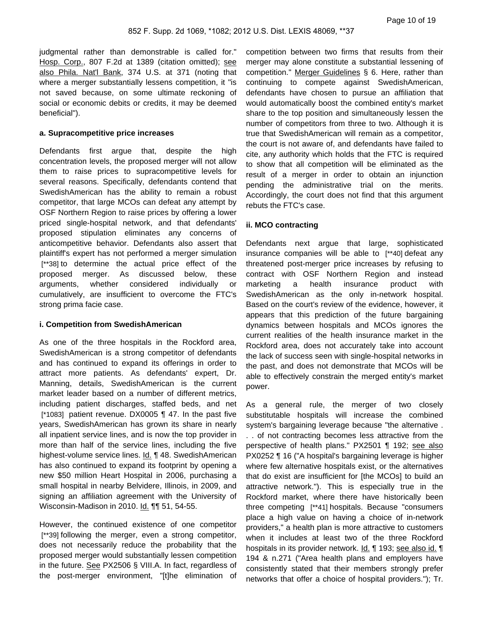judgmental rather than demonstrable is called for." Hosp. Corp., 807 F.2d at 1389 (citation omitted); see also Phila. Nat'l Bank, 374 U.S. at 371 (noting that where a merger substantially lessens competition, it "is not saved because, on some ultimate reckoning of social or economic debits or credits, it may be deemed beneficial").

#### **a. Supracompetitive price increases**

Defendants first argue that, despite the high concentration levels, the proposed merger will not allow them to raise prices to supracompetitive levels for several reasons. Specifically, defendants contend that SwedishAmerican has the ability to remain a robust competitor, that large MCOs can defeat any attempt by OSF Northern Region to raise prices by offering a lower priced single-hospital network, and that defendants' proposed stipulation eliminates any concerns of anticompetitive behavior. Defendants also assert that plaintiff's expert has not performed a merger simulation [\*\*38] to determine the actual price effect of the proposed merger. As discussed below, these arguments, whether considered individually or cumulatively, are insufficient to overcome the FTC's strong prima facie case.

# **i. Competition from SwedishAmerican**

As one of the three hospitals in the Rockford area, SwedishAmerican is a strong competitor of defendants and has continued to expand its offerings in order to attract more patients. As defendants' expert, Dr. Manning, details, SwedishAmerican is the current market leader based on a number of different metrics, including patient discharges, staffed beds, and net [\*1083] patient revenue. DX0005 ¶ 47. In the past five years, SwedishAmerican has grown its share in nearly all inpatient service lines, and is now the top provider in more than half of the service lines, including the five highest-volume service lines. Id. ¶ 48. SwedishAmerican has also continued to expand its footprint by opening a new \$50 million Heart Hospital in 2006, purchasing a small hospital in nearby Belvidere, Illinois, in 2009, and signing an affiliation agreement with the University of Wisconsin-Madison in 2010. Id. 11 51, 54-55.

However, the continued existence of one competitor [\*\*39] following the merger, even a strong competitor, does not necessarily reduce the probability that the proposed merger would substantially lessen competition in the future. See PX2506 § VIII.A. In fact, regardless of the post-merger environment, "[t]he elimination of competition between two firms that results from their merger may alone constitute a substantial lessening of competition." Merger Guidelines § 6. Here, rather than continuing to compete against SwedishAmerican, defendants have chosen to pursue an affiliation that would automatically boost the combined entity's market share to the top position and simultaneously lessen the number of competitors from three to two. Although it is true that SwedishAmerican will remain as a competitor, the court is not aware of, and defendants have failed to cite, any authority which holds that the FTC is required to show that all competition will be eliminated as the result of a merger in order to obtain an injunction pending the administrative trial on the merits. Accordingly, the court does not find that this argument rebuts the FTC's case.

# **ii. MCO contracting**

Defendants next argue that large, sophisticated insurance companies will be able to [\*\*40] defeat any threatened post-merger price increases by refusing to contract with OSF Northern Region and instead marketing a health insurance product with SwedishAmerican as the only in-network hospital. Based on the court's review of the evidence, however, it appears that this prediction of the future bargaining dynamics between hospitals and MCOs ignores the current realities of the health insurance market in the Rockford area, does not accurately take into account the lack of success seen with single-hospital networks in the past, and does not demonstrate that MCOs will be able to effectively constrain the merged entity's market power.

As a general rule, the merger of two closely substitutable hospitals will increase the combined system's bargaining leverage because "the alternative . . . of not contracting becomes less attractive from the perspective of health plans." PX2501 ¶ 192; see also PX0252 ¶ 16 ("A hospital's bargaining leverage is higher where few alternative hospitals exist, or the alternatives that do exist are insufficient for [the MCOs] to build an attractive network."). This is especially true in the Rockford market, where there have historically been three competing [\*\*41] hospitals. Because "consumers place a high value on having a choice of in-network providers," a health plan is more attractive to customers when it includes at least two of the three Rockford hospitals in its provider network. Id. ¶ 193; see also id. ¶ 194 & n.271 ("Area health plans and employers have consistently stated that their members strongly prefer networks that offer a choice of hospital providers."); Tr.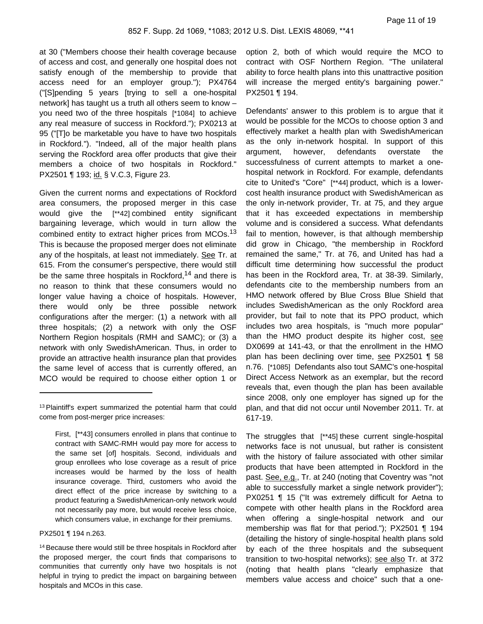at 30 ("Members choose their health coverage because of access and cost, and generally one hospital does not satisfy enough of the membership to provide that access need for an employer group."); PX4764 ("[S]pending 5 years [trying to sell a one-hospital network] has taught us a truth all others seem to know – you need two of the three hospitals [\*1084] to achieve any real measure of success in Rockford."); PX0213 at 95 ("[T]o be marketable you have to have two hospitals in Rockford."). "Indeed, all of the major health plans serving the Rockford area offer products that give their members a choice of two hospitals in Rockford." PX2501 ¶ 193; id. § V.C.3, Figure 23.

Given the current norms and expectations of Rockford area consumers, the proposed merger in this case would give the [\*\*42] combined entity significant bargaining leverage, which would in turn allow the combined entity to extract higher prices from MCOs.<sup>13</sup> This is because the proposed merger does not eliminate any of the hospitals, at least not immediately. See Tr. at 615. From the consumer's perspective, there would still be the same three hospitals in Rockford,<sup>14</sup> and there is no reason to think that these consumers would no longer value having a choice of hospitals. However, there would only be three possible network configurations after the merger: (1) a network with all three hospitals; (2) a network with only the OSF Northern Region hospitals (RMH and SAMC); or (3) a network with only SwedishAmerican. Thus, in order to provide an attractive health insurance plan that provides the same level of access that is currently offered, an MCO would be required to choose either option 1 or

PX2501 ¶ 194 n.263.

<sup>14</sup> Because there would still be three hospitals in Rockford after the proposed merger, the court finds that comparisons to communities that currently only have two hospitals is not helpful in trying to predict the impact on bargaining between hospitals and MCOs in this case.

option 2, both of which would require the MCO to contract with OSF Northern Region. "The unilateral ability to force health plans into this unattractive position will increase the merged entity's bargaining power." PX2501 ¶ 194.

Defendants' answer to this problem is to argue that it would be possible for the MCOs to choose option 3 and effectively market a health plan with SwedishAmerican as the only in-network hospital. In support of this argument, however, defendants overstate the successfulness of current attempts to market a onehospital network in Rockford. For example, defendants cite to United's "Core" [\*\*44] product, which is a lowercost health insurance product with SwedishAmerican as the only in-network provider, Tr. at 75, and they argue that it has exceeded expectations in membership volume and is considered a success. What defendants fail to mention, however, is that although membership did grow in Chicago, "the membership in Rockford remained the same," Tr. at 76, and United has had a difficult time determining how successful the product has been in the Rockford area, Tr. at 38-39. Similarly, defendants cite to the membership numbers from an HMO network offered by Blue Cross Blue Shield that includes SwedishAmerican as the only Rockford area provider, but fail to note that its PPO product, which includes two area hospitals, is "much more popular" than the HMO product despite its higher cost, see DX0699 at 141-43, or that the enrollment in the HMO plan has been declining over time, see PX2501 ¶ 58 n.76. [\*1085] Defendants also tout SAMC's one-hospital Direct Access Network as an exemplar, but the record reveals that, even though the plan has been available since 2008, only one employer has signed up for the plan, and that did not occur until November 2011. Tr. at 617-19.

The struggles that [\*\*45] these current single-hospital networks face is not unusual, but rather is consistent with the history of failure associated with other similar products that have been attempted in Rockford in the past. See, e.g., Tr. at 240 (noting that Coventry was "not able to successfully market a single network provider"); PX0251 ¶ 15 ("It was extremely difficult for Aetna to compete with other health plans in the Rockford area when offering a single-hospital network and our membership was flat for that period."); PX2501 ¶ 194 (detailing the history of single-hospital health plans sold by each of the three hospitals and the subsequent transition to two-hospital networks); see also Tr. at 372 (noting that health plans "clearly emphasize that members value access and choice" such that a one-

<sup>&</sup>lt;sup>13</sup> Plaintiff's expert summarized the potential harm that could come from post-merger price increases:

First, [\*\*43] consumers enrolled in plans that continue to contract with SAMC-RMH would pay more for access to the same set [of] hospitals. Second, individuals and group enrollees who lose coverage as a result of price increases would be harmed by the loss of health insurance coverage. Third, customers who avoid the direct effect of the price increase by switching to a product featuring a SwedishAmerican-only network would not necessarily pay more, but would receive less choice, which consumers value, in exchange for their premiums.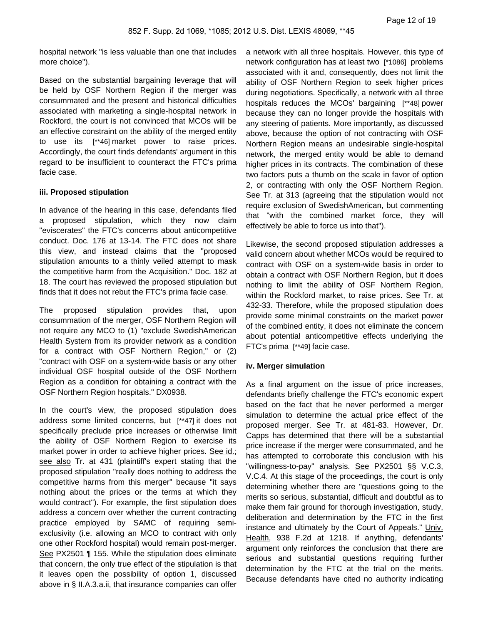hospital network "is less valuable than one that includes more choice").

Based on the substantial bargaining leverage that will be held by OSF Northern Region if the merger was consummated and the present and historical difficulties associated with marketing a single-hospital network in Rockford, the court is not convinced that MCOs will be an effective constraint on the ability of the merged entity to use its [\*\*46] market power to raise prices. Accordingly, the court finds defendants' argument in this regard to be insufficient to counteract the FTC's prima facie case.

# **iii. Proposed stipulation**

In advance of the hearing in this case, defendants filed a proposed stipulation, which they now claim "eviscerates" the FTC's concerns about anticompetitive conduct. Doc. 176 at 13-14. The FTC does not share this view, and instead claims that the "proposed stipulation amounts to a thinly veiled attempt to mask the competitive harm from the Acquisition." Doc. 182 at 18. The court has reviewed the proposed stipulation but finds that it does not rebut the FTC's prima facie case.

The proposed stipulation provides that, upon consummation of the merger, OSF Northern Region will not require any MCO to (1) "exclude SwedishAmerican Health System from its provider network as a condition for a contract with OSF Northern Region," or (2) "contract with OSF on a system-wide basis or any other individual OSF hospital outside of the OSF Northern Region as a condition for obtaining a contract with the OSF Northern Region hospitals." DX0938.

In the court's view, the proposed stipulation does address some limited concerns, but [\*\*47] it does not specifically preclude price increases or otherwise limit the ability of OSF Northern Region to exercise its market power in order to achieve higher prices. See id.; see also Tr. at 431 (plaintiff's expert stating that the proposed stipulation "really does nothing to address the competitive harms from this merger" because "it says nothing about the prices or the terms at which they would contract"). For example, the first stipulation does address a concern over whether the current contracting practice employed by SAMC of requiring semiexclusivity (i.e. allowing an MCO to contract with only one other Rockford hospital) would remain post-merger. See PX2501 ¶ 155. While the stipulation does eliminate that concern, the only true effect of the stipulation is that it leaves open the possibility of option 1, discussed above in § II.A.3.a.ii, that insurance companies can offer

a network with all three hospitals. However, this type of network configuration has at least two [\*1086] problems associated with it and, consequently, does not limit the ability of OSF Northern Region to seek higher prices during negotiations. Specifically, a network with all three hospitals reduces the MCOs' bargaining [\*\*48] power because they can no longer provide the hospitals with any steering of patients. More importantly, as discussed above, because the option of not contracting with OSF Northern Region means an undesirable single-hospital network, the merged entity would be able to demand higher prices in its contracts. The combination of these two factors puts a thumb on the scale in favor of option 2, or contracting with only the OSF Northern Region. See Tr. at 313 (agreeing that the stipulation would not require exclusion of SwedishAmerican, but commenting that "with the combined market force, they will effectively be able to force us into that").

Likewise, the second proposed stipulation addresses a valid concern about whether MCOs would be required to contract with OSF on a system-wide basis in order to obtain a contract with OSF Northern Region, but it does nothing to limit the ability of OSF Northern Region, within the Rockford market, to raise prices. See Tr. at 432-33. Therefore, while the proposed stipulation does provide some minimal constraints on the market power of the combined entity, it does not eliminate the concern about potential anticompetitive effects underlying the FTC's prima [\*\*49] facie case.

### **iv. Merger simulation**

As a final argument on the issue of price increases, defendants briefly challenge the FTC's economic expert based on the fact that he never performed a merger simulation to determine the actual price effect of the proposed merger. See Tr. at 481-83. However, Dr. Capps has determined that there will be a substantial price increase if the merger were consummated, and he has attempted to corroborate this conclusion with his "willingness-to-pay" analysis. See PX2501 §§ V.C.3, V.C.4. At this stage of the proceedings, the court is only determining whether there are "questions going to the merits so serious, substantial, difficult and doubtful as to make them fair ground for thorough investigation, study, deliberation and determination by the FTC in the first instance and ultimately by the Court of Appeals." Univ. Health, 938 F.2d at 1218. If anything, defendants' argument only reinforces the conclusion that there are serious and substantial questions requiring further determination by the FTC at the trial on the merits. Because defendants have cited no authority indicating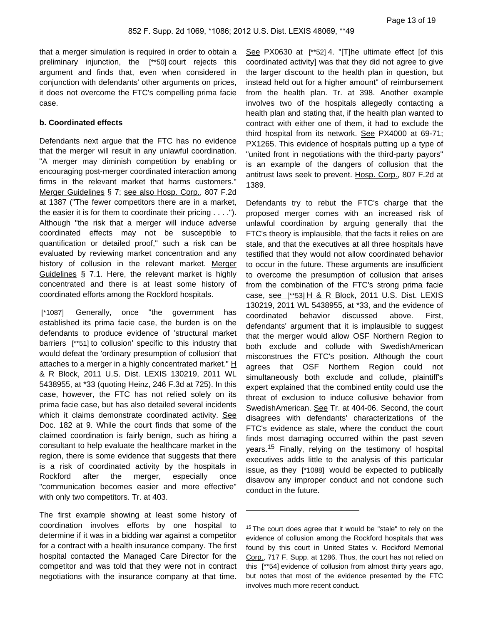that a merger simulation is required in order to obtain a preliminary injunction, the [\*\*50] court rejects this argument and finds that, even when considered in conjunction with defendants' other arguments on prices, it does not overcome the FTC's compelling prima facie case.

# **b. Coordinated effects**

Defendants next argue that the FTC has no evidence that the merger will result in any unlawful coordination. "A merger may diminish competition by enabling or encouraging post-merger coordinated interaction among firms in the relevant market that harms customers." Merger Guidelines § 7; see also Hosp. Corp., 807 F.2d at 1387 ("The fewer competitors there are in a market, the easier it is for them to coordinate their pricing . . . ."). Although "the risk that a merger will induce adverse coordinated effects may not be susceptible to quantification or detailed proof," such a risk can be evaluated by reviewing market concentration and any history of collusion in the relevant market. Merger Guidelines § 7.1. Here, the relevant market is highly concentrated and there is at least some history of coordinated efforts among the Rockford hospitals.

[\*1087] Generally, once "the government has established its prima facie case, the burden is on the defendants to produce evidence of 'structural market barriers [\*\*51] to collusion' specific to this industry that would defeat the 'ordinary presumption of collusion' that attaches to a merger in a highly concentrated market."  $H$ & R Block, 2011 U.S. Dist. LEXIS 130219, 2011 WL 5438955, at \*33 (quoting Heinz, 246 F.3d at 725). In this case, however, the FTC has not relied solely on its prima facie case, but has also detailed several incidents which it claims demonstrate coordinated activity. See Doc. 182 at 9. While the court finds that some of the claimed coordination is fairly benign, such as hiring a consultant to help evaluate the healthcare market in the region, there is some evidence that suggests that there is a risk of coordinated activity by the hospitals in Rockford after the merger, especially once "communication becomes easier and more effective" with only two competitors. Tr. at 403.

The first example showing at least some history of coordination involves efforts by one hospital to determine if it was in a bidding war against a competitor for a contract with a health insurance company. The first hospital contacted the Managed Care Director for the competitor and was told that they were not in contract negotiations with the insurance company at that time. See PX0630 at [\*\*52] 4. "[T]he ultimate effect [of this coordinated activity] was that they did not agree to give the larger discount to the health plan in question, but instead held out for a higher amount" of reimbursement from the health plan. Tr. at 398. Another example involves two of the hospitals allegedly contacting a health plan and stating that, if the health plan wanted to contract with either one of them, it had to exclude the third hospital from its network. See PX4000 at 69-71; PX1265. This evidence of hospitals putting up a type of "united front in negotiations with the third-party payors" is an example of the dangers of collusion that the antitrust laws seek to prevent. Hosp. Corp., 807 F.2d at 1389.

Defendants try to rebut the FTC's charge that the proposed merger comes with an increased risk of unlawful coordination by arguing generally that the FTC's theory is implausible, that the facts it relies on are stale, and that the executives at all three hospitals have testified that they would not allow coordinated behavior to occur in the future. These arguments are insufficient to overcome the presumption of collusion that arises from the combination of the FTC's strong prima facie case, see [\*\*53] H & R Block, 2011 U.S. Dist. LEXIS 130219, 2011 WL 5438955, at \*33, and the evidence of coordinated behavior discussed above. First, defendants' argument that it is implausible to suggest that the merger would allow OSF Northern Region to both exclude and collude with SwedishAmerican misconstrues the FTC's position. Although the court agrees that OSF Northern Region could not simultaneously both exclude and collude, plaintiff's expert explained that the combined entity could use the threat of exclusion to induce collusive behavior from SwedishAmerican. See Tr. at 404-06. Second, the court disagrees with defendants' characterizations of the FTC's evidence as stale, where the conduct the court finds most damaging occurred within the past seven years.<sup>15</sup> Finally, relying on the testimony of hospital executives adds little to the analysis of this particular issue, as they [\*1088] would be expected to publically disavow any improper conduct and not condone such conduct in the future.

<sup>&</sup>lt;sup>15</sup> The court does agree that it would be "stale" to rely on the evidence of collusion among the Rockford hospitals that was found by this court in United States v. Rockford Memorial Corp., 717 F. Supp. at 1286. Thus, the court has not relied on this [\*\*54] evidence of collusion from almost thirty years ago, but notes that most of the evidence presented by the FTC involves much more recent conduct.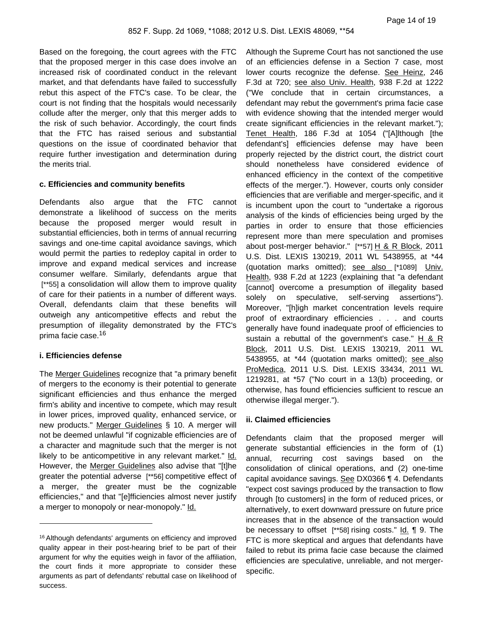Based on the foregoing, the court agrees with the FTC that the proposed merger in this case does involve an increased risk of coordinated conduct in the relevant market, and that defendants have failed to successfully rebut this aspect of the FTC's case. To be clear, the court is not finding that the hospitals would necessarily collude after the merger, only that this merger adds to the risk of such behavior. Accordingly, the court finds that the FTC has raised serious and substantial questions on the issue of coordinated behavior that require further investigation and determination during the merits trial.

# **c. Efficiencies and community benefits**

Defendants also argue that the FTC cannot demonstrate a likelihood of success on the merits because the proposed merger would result in substantial efficiencies, both in terms of annual recurring savings and one-time capital avoidance savings, which would permit the parties to redeploy capital in order to improve and expand medical services and increase consumer welfare. Similarly, defendants argue that [\*\*55] a consolidation will allow them to improve quality of care for their patients in a number of different ways. Overall, defendants claim that these benefits will outweigh any anticompetitive effects and rebut the presumption of illegality demonstrated by the FTC's prima facie case.<sup>16</sup>

# **i. Efficiencies defense**

The Merger Guidelines recognize that "a primary benefit of mergers to the economy is their potential to generate significant efficiencies and thus enhance the merged firm's ability and incentive to compete, which may result in lower prices, improved quality, enhanced service, or new products." Merger Guidelines § 10. A merger will not be deemed unlawful "if cognizable efficiencies are of a character and magnitude such that the merger is not likely to be anticompetitive in any relevant market." Id. However, the Merger Guidelines also advise that "[t]he greater the potential adverse [\*\*56] competitive effect of a merger, the greater must be the cognizable efficiencies," and that "[e]fficiencies almost never justify a merger to monopoly or near-monopoly." Id.

Although the Supreme Court has not sanctioned the use of an efficiencies defense in a Section 7 case, most lower courts recognize the defense. See Heinz, 246 F.3d at 720; see also Univ. Health, 938 F.2d at 1222 ("We conclude that in certain circumstances, a defendant may rebut the government's prima facie case with evidence showing that the intended merger would create significant efficiencies in the relevant market."); Tenet Health, 186 F.3d at 1054 ("[A]lthough [the defendant's] efficiencies defense may have been properly rejected by the district court, the district court should nonetheless have considered evidence of enhanced efficiency in the context of the competitive effects of the merger."). However, courts only consider efficiencies that are verifiable and merger-specific, and it is incumbent upon the court to "undertake a rigorous analysis of the kinds of efficiencies being urged by the parties in order to ensure that those efficiencies represent more than mere speculation and promises about post-merger behavior." [\*\*57] H & R Block, 2011 U.S. Dist. LEXIS 130219, 2011 WL 5438955, at \*44 (quotation marks omitted); see also [\*1089] Univ. Health, 938 F.2d at 1223 (explaining that "a defendant [cannot] overcome a presumption of illegality based solely on speculative, self-serving assertions"). Moreover, "[h]igh market concentration levels require proof of extraordinary efficiencies . . . and courts generally have found inadequate proof of efficiencies to sustain a rebuttal of the government's case." H & R Block, 2011 U.S. Dist. LEXIS 130219, 2011 WL 5438955, at \*44 (quotation marks omitted); see also ProMedica, 2011 U.S. Dist. LEXIS 33434, 2011 WL 1219281, at \*57 ("No court in a 13(b) proceeding, or otherwise, has found efficiencies sufficient to rescue an otherwise illegal merger.").

### **ii. Claimed efficiencies**

Defendants claim that the proposed merger will generate substantial efficiencies in the form of (1) annual, recurring cost savings based on the consolidation of clinical operations, and (2) one-time capital avoidance savings. See DX0366 ¶ 4. Defendants "expect cost savings produced by the transaction to flow through [to customers] in the form of reduced prices, or alternatively, to exert downward pressure on future price increases that in the absence of the transaction would be necessary to offset [\*\*58] rising costs." Id. ¶ 9. The FTC is more skeptical and argues that defendants have failed to rebut its prima facie case because the claimed efficiencies are speculative, unreliable, and not mergerspecific.

<sup>16</sup> Although defendants' arguments on efficiency and improved quality appear in their post-hearing brief to be part of their argument for why the equities weigh in favor of the affiliation, the court finds it more appropriate to consider these arguments as part of defendants' rebuttal case on likelihood of success.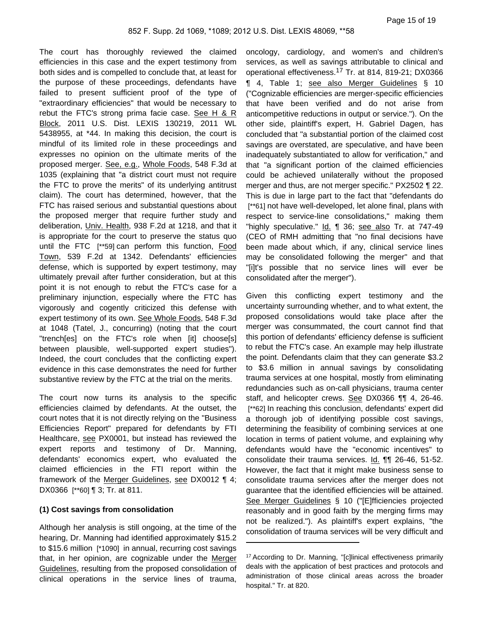The court has thoroughly reviewed the claimed efficiencies in this case and the expert testimony from both sides and is compelled to conclude that, at least for the purpose of these proceedings, defendants have failed to present sufficient proof of the type of "extraordinary efficiencies" that would be necessary to rebut the FTC's strong prima facie case. See H  $8$  R Block, 2011 U.S. Dist. LEXIS 130219, 2011 WL 5438955, at \*44. In making this decision, the court is mindful of its limited role in these proceedings and expresses no opinion on the ultimate merits of the proposed merger. See, e.g., Whole Foods, 548 F.3d at 1035 (explaining that "a district court must not require the FTC to prove the merits" of its underlying antitrust claim). The court has determined, however, that the FTC has raised serious and substantial questions about the proposed merger that require further study and deliberation, Univ. Health, 938 F.2d at 1218, and that it is appropriate for the court to preserve the status quo until the FTC [\*\*59] can perform this function, Food Town, 539 F.2d at 1342. Defendants' efficiencies defense, which is supported by expert testimony, may ultimately prevail after further consideration, but at this point it is not enough to rebut the FTC's case for a preliminary injunction, especially where the FTC has vigorously and cogently criticized this defense with expert testimony of its own. See Whole Foods, 548 F.3d at 1048 (Tatel, J., concurring) (noting that the court "trench[es] on the FTC's role when [it] choose[s] between plausible, well-supported expert studies"). Indeed, the court concludes that the conflicting expert evidence in this case demonstrates the need for further substantive review by the FTC at the trial on the merits.

The court now turns its analysis to the specific efficiencies claimed by defendants. At the outset, the court notes that it is not directly relying on the "Business Efficiencies Report" prepared for defendants by FTI Healthcare, see PX0001, but instead has reviewed the expert reports and testimony of Dr. Manning, defendants' economics expert, who evaluated the claimed efficiencies in the FTI report within the framework of the Merger Guidelines, see DX0012 ¶ 4; DX0366 [\*\*60] ¶ 3; Tr. at 811.

# **(1) Cost savings from consolidation**

Although her analysis is still ongoing, at the time of the hearing, Dr. Manning had identified approximately \$15.2 to \$15.6 million [\*1090] in annual, recurring cost savings that, in her opinion, are cognizable under the Merger Guidelines, resulting from the proposed consolidation of clinical operations in the service lines of trauma,

oncology, cardiology, and women's and children's services, as well as savings attributable to clinical and operational effectiveness.<sup>17</sup> Tr. at 814, 819-21; DX0366 ¶ 4, Table 1; see also Merger Guidelines § 10 ("Cognizable efficiencies are merger-specific efficiencies that have been verified and do not arise from anticompetitive reductions in output or service."). On the other side, plaintiff's expert, H. Gabriel Dagen, has concluded that "a substantial portion of the claimed cost savings are overstated, are speculative, and have been inadequately substantiated to allow for verification," and that "a significant portion of the claimed efficiencies could be achieved unilaterally without the proposed merger and thus, are not merger specific." PX2502 ¶ 22. This is due in large part to the fact that "defendants do [\*\*61] not have well-developed, let alone final, plans with respect to service-line consolidations," making them "highly speculative." Id. ¶ 36; see also Tr. at 747-49 (CEO of RMH admitting that "no final decisions have been made about which, if any, clinical service lines may be consolidated following the merger" and that "[i]t's possible that no service lines will ever be consolidated after the merger").

Given this conflicting expert testimony and the uncertainty surrounding whether, and to what extent, the proposed consolidations would take place after the merger was consummated, the court cannot find that this portion of defendants' efficiency defense is sufficient to rebut the FTC's case. An example may help illustrate the point. Defendants claim that they can generate \$3.2 to \$3.6 million in annual savings by consolidating trauma services at one hospital, mostly from eliminating redundancies such as on-call physicians, trauma center staff, and helicopter crews. See DX0366 ¶¶ 4, 26-46. [\*\*62] In reaching this conclusion, defendants' expert did a thorough job of identifying possible cost savings, determining the feasibility of combining services at one location in terms of patient volume, and explaining why defendants would have the "economic incentives" to consolidate their trauma services. Id. ¶¶ 26-46, 51-52. However, the fact that it might make business sense to consolidate trauma services after the merger does not guarantee that the identified efficiencies will be attained. See Merger Guidelines § 10 ("[E]fficiencies projected reasonably and in good faith by the merging firms may not be realized."). As plaintiff's expert explains, "the consolidation of trauma services will be very difficult and

<sup>17</sup> According to Dr. Manning, "[c]linical effectiveness primarily deals with the application of best practices and protocols and administration of those clinical areas across the broader hospital." Tr. at 820.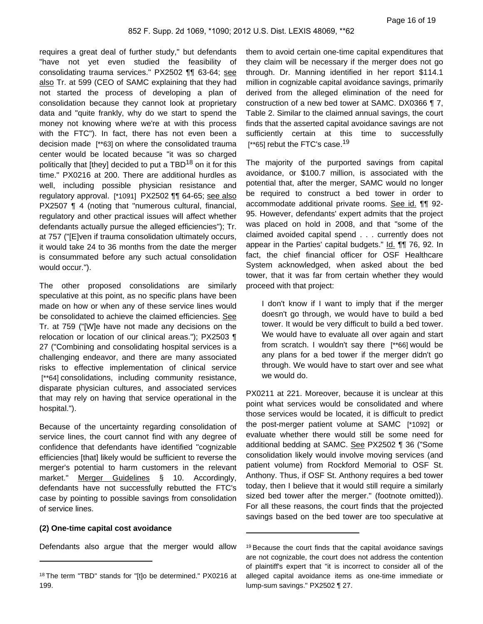requires a great deal of further study," but defendants "have not yet even studied the feasibility of consolidating trauma services." PX2502 ¶¶ 63-64; see also Tr. at 599 (CEO of SAMC explaining that they had not started the process of developing a plan of consolidation because they cannot look at proprietary data and "quite frankly, why do we start to spend the money not knowing where we're at with this process with the FTC"). In fact, there has not even been a decision made [\*\*63] on where the consolidated trauma center would be located because "it was so charged politically that [they] decided to put a  $TBD^{18}$  on it for this time." PX0216 at 200. There are additional hurdles as well, including possible physician resistance and regulatory approval. [\*1091] PX2502 ¶¶ 64-65; see also PX2507 ¶ 4 (noting that "numerous cultural, financial, regulatory and other practical issues will affect whether defendants actually pursue the alleged efficiencies"); Tr. at 757 ("[E]ven if trauma consolidation ultimately occurs, it would take 24 to 36 months from the date the merger is consummated before any such actual consolidation would occur.").

The other proposed consolidations are similarly speculative at this point, as no specific plans have been made on how or when any of these service lines would be consolidated to achieve the claimed efficiencies. See Tr. at 759 ("[W]e have not made any decisions on the relocation or location of our clinical areas."); PX2503 ¶ 27 ("Combining and consolidating hospital services is a challenging endeavor, and there are many associated risks to effective implementation of clinical service [\*\*64] consolidations, including community resistance, disparate physician cultures, and associated services that may rely on having that service operational in the hospital.").

Because of the uncertainty regarding consolidation of service lines, the court cannot find with any degree of confidence that defendants have identified "cognizable efficiencies [that] likely would be sufficient to reverse the merger's potential to harm customers in the relevant market." Merger Guidelines § 10. Accordingly, defendants have not successfully rebutted the FTC's case by pointing to possible savings from consolidation of service lines.

# **(2) One-time capital cost avoidance**

Defendants also argue that the merger would allow

them to avoid certain one-time capital expenditures that they claim will be necessary if the merger does not go through. Dr. Manning identified in her report \$114.1 million in cognizable capital avoidance savings, primarily derived from the alleged elimination of the need for construction of a new bed tower at SAMC. DX0366 ¶ 7, Table 2. Similar to the claimed annual savings, the court finds that the asserted capital avoidance savings are not sufficiently certain at this time to successfully [ $*65$ ] rebut the FTC's case.<sup>19</sup>

The majority of the purported savings from capital avoidance, or \$100.7 million, is associated with the potential that, after the merger, SAMC would no longer be required to construct a bed tower in order to accommodate additional private rooms. See id. ¶¶ 92- 95. However, defendants' expert admits that the project was placed on hold in 2008, and that "some of the claimed avoided capital spend . . . currently does not appear in the Parties' capital budgets." Id. ¶¶ 76, 92. In fact, the chief financial officer for OSF Healthcare System acknowledged, when asked about the bed tower, that it was far from certain whether they would proceed with that project:

I don't know if I want to imply that if the merger doesn't go through, we would have to build a bed tower. It would be very difficult to build a bed tower. We would have to evaluate all over again and start from scratch. I wouldn't say there [\*\*66] would be any plans for a bed tower if the merger didn't go through. We would have to start over and see what we would do.

PX0211 at 221. Moreover, because it is unclear at this point what services would be consolidated and where those services would be located, it is difficult to predict the post-merger patient volume at SAMC [\*1092] or evaluate whether there would still be some need for additional bedding at SAMC. See PX2502 ¶ 36 ("Some consolidation likely would involve moving services (and patient volume) from Rockford Memorial to OSF St. Anthony. Thus, if OSF St. Anthony requires a bed tower today, then I believe that it would still require a similarly sized bed tower after the merger." (footnote omitted)). For all these reasons, the court finds that the projected savings based on the bed tower are too speculative at

<sup>18</sup> The term "TBD" stands for "[t]o be determined." PX0216 at 199.

<sup>&</sup>lt;sup>19</sup> Because the court finds that the capital avoidance savings are not cognizable, the court does not address the contention of plaintiff's expert that "it is incorrect to consider all of the alleged capital avoidance items as one-time immediate or lump-sum savings." PX2502 ¶ 27.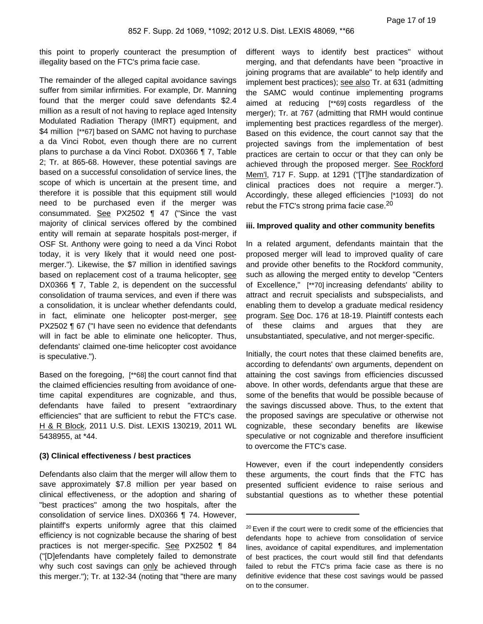this point to properly counteract the presumption of illegality based on the FTC's prima facie case.

The remainder of the alleged capital avoidance savings suffer from similar infirmities. For example, Dr. Manning found that the merger could save defendants \$2.4 million as a result of not having to replace aged Intensity Modulated Radiation Therapy (IMRT) equipment, and \$4 million [\*\*67] based on SAMC not having to purchase a da Vinci Robot, even though there are no current plans to purchase a da Vinci Robot. DX0366 ¶ 7, Table 2; Tr. at 865-68. However, these potential savings are based on a successful consolidation of service lines, the scope of which is uncertain at the present time, and therefore it is possible that this equipment still would need to be purchased even if the merger was consummated. See PX2502 ¶ 47 ("Since the vast majority of clinical services offered by the combined entity will remain at separate hospitals post-merger, if OSF St. Anthony were going to need a da Vinci Robot today, it is very likely that it would need one postmerger."). Likewise, the \$7 million in identified savings based on replacement cost of a trauma helicopter, see DX0366 ¶ 7, Table 2, is dependent on the successful consolidation of trauma services, and even if there was a consolidation, it is unclear whether defendants could, in fact, eliminate one helicopter post-merger, see PX2502 ¶ 67 ("I have seen no evidence that defendants will in fact be able to eliminate one helicopter. Thus, defendants' claimed one-time helicopter cost avoidance is speculative.").

Based on the foregoing, [\*\*68] the court cannot find that the claimed efficiencies resulting from avoidance of onetime capital expenditures are cognizable, and thus, defendants have failed to present "extraordinary efficiencies" that are sufficient to rebut the FTC's case. H & R Block, 2011 U.S. Dist. LEXIS 130219, 2011 WL 5438955, at \*44.

## **(3) Clinical effectiveness / best practices**

Defendants also claim that the merger will allow them to save approximately \$7.8 million per year based on clinical effectiveness, or the adoption and sharing of "best practices" among the two hospitals, after the consolidation of service lines. DX0366 ¶ 74. However, plaintiff's experts uniformly agree that this claimed efficiency is not cognizable because the sharing of best practices is not merger-specific. See PX2502 ¶ 84 ("[D]efendants have completely failed to demonstrate why such cost savings can only be achieved through this merger."); Tr. at 132-34 (noting that "there are many

different ways to identify best practices" without merging, and that defendants have been "proactive in joining programs that are available" to help identify and implement best practices); see also Tr. at 631 (admitting the SAMC would continue implementing programs aimed at reducing [\*\*69] costs regardless of the merger); Tr. at 767 (admitting that RMH would continue implementing best practices regardless of the merger). Based on this evidence, the court cannot say that the projected savings from the implementation of best practices are certain to occur or that they can only be achieved through the proposed merger. See Rockford Mem'l, 717 F. Supp. at 1291 ("[T]he standardization of clinical practices does not require a merger."). Accordingly, these alleged efficiencies [\*1093] do not rebut the FTC's strong prima facie case.<sup>20</sup>

### **iii. Improved quality and other community benefits**

In a related argument, defendants maintain that the proposed merger will lead to improved quality of care and provide other benefits to the Rockford community, such as allowing the merged entity to develop "Centers of Excellence," [\*\*70] increasing defendants' ability to attract and recruit specialists and subspecialists, and enabling them to develop a graduate medical residency program. See Doc. 176 at 18-19. Plaintiff contests each of these claims and argues that they are unsubstantiated, speculative, and not merger-specific.

Initially, the court notes that these claimed benefits are, according to defendants' own arguments, dependent on attaining the cost savings from efficiencies discussed above. In other words, defendants argue that these are some of the benefits that would be possible because of the savings discussed above. Thus, to the extent that the proposed savings are speculative or otherwise not cognizable, these secondary benefits are likewise speculative or not cognizable and therefore insufficient to overcome the FTC's case.

However, even if the court independently considers these arguments, the court finds that the FTC has presented sufficient evidence to raise serious and substantial questions as to whether these potential

<sup>&</sup>lt;sup>20</sup> Even if the court were to credit some of the efficiencies that defendants hope to achieve from consolidation of service lines, avoidance of capital expenditures, and implementation of best practices, the court would still find that defendants failed to rebut the FTC's prima facie case as there is no definitive evidence that these cost savings would be passed on to the consumer.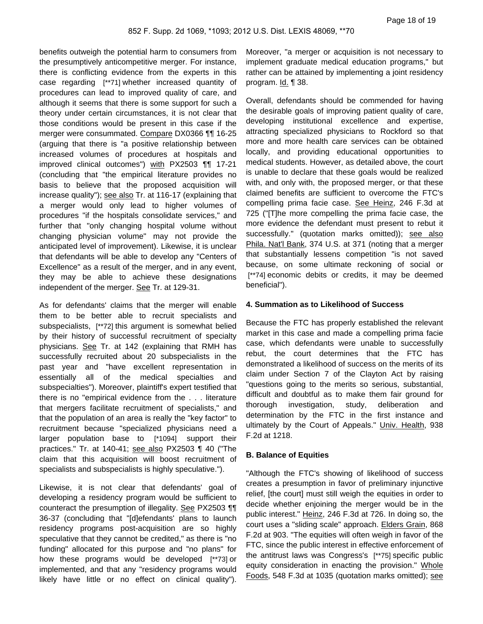benefits outweigh the potential harm to consumers from the presumptively anticompetitive merger. For instance, there is conflicting evidence from the experts in this case regarding [\*\*71] whether increased quantity of procedures can lead to improved quality of care, and although it seems that there is some support for such a theory under certain circumstances, it is not clear that those conditions would be present in this case if the merger were consummated. Compare DX0366 ¶¶ 16-25 (arguing that there is "a positive relationship between increased volumes of procedures at hospitals and improved clinical outcomes") with PX2503 ¶¶ 17-21 (concluding that "the empirical literature provides no basis to believe that the proposed acquisition will increase quality"); see also Tr. at 116-17 (explaining that a merger would only lead to higher volumes of procedures "if the hospitals consolidate services," and further that "only changing hospital volume without changing physician volume" may not provide the anticipated level of improvement). Likewise, it is unclear that defendants will be able to develop any "Centers of Excellence" as a result of the merger, and in any event, they may be able to achieve these designations independent of the merger. See Tr. at 129-31.

As for defendants' claims that the merger will enable them to be better able to recruit specialists and subspecialists, [\*\*72] this argument is somewhat belied by their history of successful recruitment of specialty physicians. See Tr. at 142 (explaining that RMH has successfully recruited about 20 subspecialists in the past year and "have excellent representation in essentially all of the medical specialties and subspecialties"). Moreover, plaintiff's expert testified that there is no "empirical evidence from the . . . literature that mergers facilitate recruitment of specialists," and that the population of an area is really the "key factor" to recruitment because "specialized physicians need a larger population base to [\*1094] support their practices." Tr. at 140-41; see also PX2503 ¶ 40 ("The claim that this acquisition will boost recruitment of specialists and subspecialists is highly speculative.").

Likewise, it is not clear that defendants' goal of developing a residency program would be sufficient to counteract the presumption of illegality. See PX2503 \[ 36-37 (concluding that "[d]efendants' plans to launch residency programs post-acquisition are so highly speculative that they cannot be credited," as there is "no funding" allocated for this purpose and "no plans" for how these programs would be developed [\*\*73] or implemented, and that any "residency programs would likely have little or no effect on clinical quality").

Moreover, "a merger or acquisition is not necessary to implement graduate medical education programs," but rather can be attained by implementing a joint residency program. Id. 138.

Overall, defendants should be commended for having the desirable goals of improving patient quality of care, developing institutional excellence and expertise, attracting specialized physicians to Rockford so that more and more health care services can be obtained locally, and providing educational opportunities to medical students. However, as detailed above, the court is unable to declare that these goals would be realized with, and only with, the proposed merger, or that these claimed benefits are sufficient to overcome the FTC's compelling prima facie case. See Heinz, 246 F.3d at 725 ("[T]he more compelling the prima facie case, the more evidence the defendant must present to rebut it successfully." (quotation marks omitted)); see also Phila. Nat'l Bank, 374 U.S. at 371 (noting that a merger that substantially lessens competition "is not saved because, on some ultimate reckoning of social or [\*\*74] economic debits or credits, it may be deemed beneficial").

## **4. Summation as to Likelihood of Success**

Because the FTC has properly established the relevant market in this case and made a compelling prima facie case, which defendants were unable to successfully rebut, the court determines that the FTC has demonstrated a likelihood of success on the merits of its claim under Section 7 of the Clayton Act by raising "questions going to the merits so serious, substantial, difficult and doubtful as to make them fair ground for thorough investigation, study, deliberation and determination by the FTC in the first instance and ultimately by the Court of Appeals." Univ. Health, 938 F.2d at 1218.

## **B. Balance of Equities**

"Although the FTC's showing of likelihood of success creates a presumption in favor of preliminary injunctive relief, [the court] must still weigh the equities in order to decide whether enjoining the merger would be in the public interest." Heinz, 246 F.3d at 726. In doing so, the court uses a "sliding scale" approach. Elders Grain, 868 F.2d at 903. "The equities will often weigh in favor of the FTC, since the public interest in effective enforcement of the antitrust laws was Congress's [\*\*75] specific public equity consideration in enacting the provision." Whole Foods, 548 F.3d at 1035 (quotation marks omitted); see